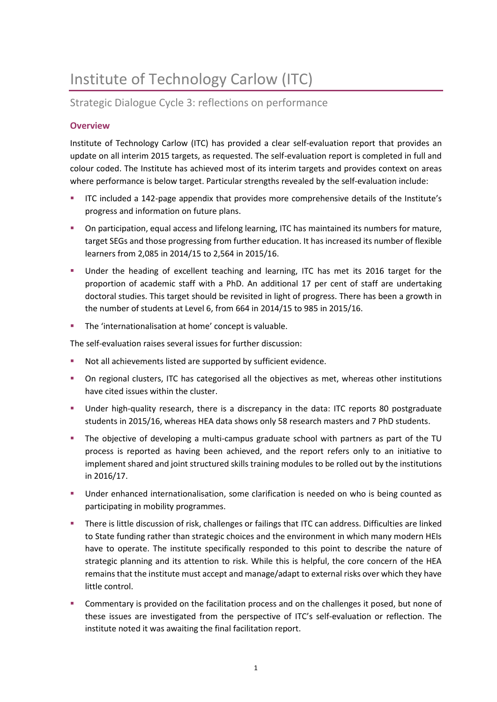# Institute of Technology Carlow (ITC)

# Strategic Dialogue Cycle 3: reflections on performance

## **Overview**

Institute of Technology Carlow (ITC) has provided a clear self-evaluation report that provides an update on all interim 2015 targets, as requested. The self-evaluation report is completed in full and colour coded. The Institute has achieved most of its interim targets and provides context on areas where performance is below target. Particular strengths revealed by the self-evaluation include:

- ITC included a 142-page appendix that provides more comprehensive details of the Institute's progress and information on future plans.
- On participation, equal access and lifelong learning, ITC has maintained its numbers for mature, target SEGs and those progressing from further education. It has increased its number of flexible learners from 2,085 in 2014/15 to 2,564 in 2015/16.
- Under the heading of excellent teaching and learning, ITC has met its 2016 target for the proportion of academic staff with a PhD. An additional 17 per cent of staff are undertaking doctoral studies. This target should be revisited in light of progress. There has been a growth in the number of students at Level 6, from 664 in 2014/15 to 985 in 2015/16.
- The 'internationalisation at home' concept is valuable.

The self-evaluation raises several issues for further discussion:

- Not all achievements listed are supported by sufficient evidence.
- On regional clusters, ITC has categorised all the objectives as met, whereas other institutions have cited issues within the cluster.
- Under high-quality research, there is a discrepancy in the data: ITC reports 80 postgraduate students in 2015/16, whereas HEA data shows only 58 research masters and 7 PhD students.
- The objective of developing a multi-campus graduate school with partners as part of the TU process is reported as having been achieved, and the report refers only to an initiative to implement shared and joint structured skills training modules to be rolled out by the institutions in 2016/17.
- Under enhanced internationalisation, some clarification is needed on who is being counted as participating in mobility programmes.
- There is little discussion of risk, challenges or failings that ITC can address. Difficulties are linked to State funding rather than strategic choices and the environment in which many modern HEIs have to operate. The institute specifically responded to this point to describe the nature of strategic planning and its attention to risk. While this is helpful, the core concern of the HEA remains that the institute must accept and manage/adapt to external risks over which they have little control.
- Commentary is provided on the facilitation process and on the challenges it posed, but none of these issues are investigated from the perspective of ITC's self-evaluation or reflection. The institute noted it was awaiting the final facilitation report.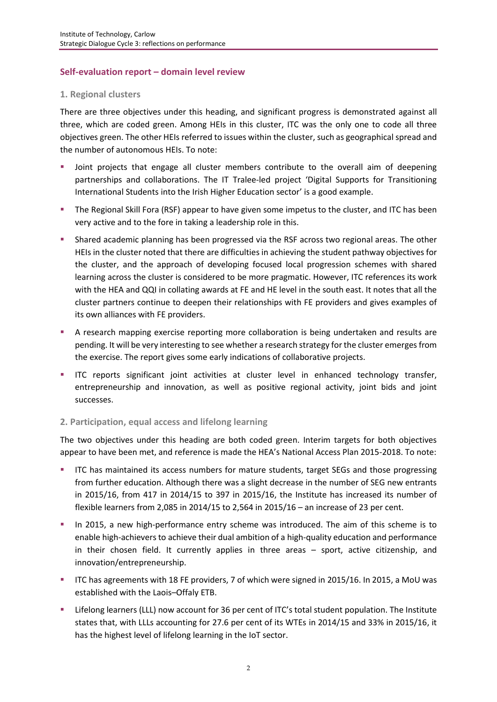## **Self-evaluation report – domain level review**

#### **1. Regional clusters**

There are three objectives under this heading, and significant progress is demonstrated against all three, which are coded green. Among HEIs in this cluster, ITC was the only one to code all three objectives green. The other HEIs referred to issues within the cluster, such as geographical spread and the number of autonomous HEIs. To note:

- Joint projects that engage all cluster members contribute to the overall aim of deepening partnerships and collaborations. The IT Tralee-led project 'Digital Supports for Transitioning International Students into the Irish Higher Education sector' is a good example.
- **The Regional Skill Fora (RSF) appear to have given some impetus to the cluster, and ITC has been** very active and to the fore in taking a leadership role in this.
- Shared academic planning has been progressed via the RSF across two regional areas. The other HEIs in the cluster noted that there are difficulties in achieving the student pathway objectives for the cluster, and the approach of developing focused local progression schemes with shared learning across the cluster is considered to be more pragmatic. However, ITC references its work with the HEA and QQI in collating awards at FE and HE level in the south east. It notes that all the cluster partners continue to deepen their relationships with FE providers and gives examples of its own alliances with FE providers.
- A research mapping exercise reporting more collaboration is being undertaken and results are pending. It will be very interesting to see whether a research strategy for the cluster emergesfrom the exercise. The report gives some early indications of collaborative projects.
- ITC reports significant joint activities at cluster level in enhanced technology transfer, entrepreneurship and innovation, as well as positive regional activity, joint bids and joint successes.

#### **2. Participation, equal access and lifelong learning**

The two objectives under this heading are both coded green. Interim targets for both objectives appear to have been met, and reference is made the HEA's National Access Plan 2015-2018. To note:

- ITC has maintained its access numbers for mature students, target SEGs and those progressing from further education. Although there was a slight decrease in the number of SEG new entrants in 2015/16, from 417 in 2014/15 to 397 in 2015/16, the Institute has increased its number of flexible learners from 2,085 in 2014/15 to 2,564 in 2015/16 – an increase of 23 per cent.
- In 2015, a new high-performance entry scheme was introduced. The aim of this scheme is to enable high-achievers to achieve their dual ambition of a high-quality education and performance in their chosen field. It currently applies in three areas – sport, active citizenship, and innovation/entrepreneurship.
- ITC has agreements with 18 FE providers, 7 of which were signed in 2015/16. In 2015, a MoU was established with the Laois–Offaly ETB.
- Lifelong learners (LLL) now account for 36 per cent of ITC's total student population. The Institute states that, with LLLs accounting for 27.6 per cent of its WTEs in 2014/15 and 33% in 2015/16, it has the highest level of lifelong learning in the IoT sector.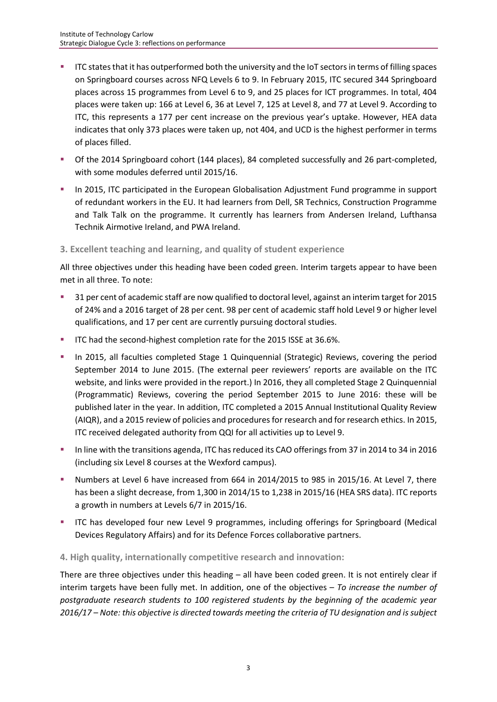- ITC states that it has outperformed both the university and the IoT sectors in terms of filling spaces on Springboard courses across NFQ Levels 6 to 9. In February 2015, ITC secured 344 Springboard places across 15 programmes from Level 6 to 9, and 25 places for ICT programmes. In total, 404 places were taken up: 166 at Level 6, 36 at Level 7, 125 at Level 8, and 77 at Level 9. According to ITC, this represents a 177 per cent increase on the previous year's uptake. However, HEA data indicates that only 373 places were taken up, not 404, and UCD is the highest performer in terms of places filled.
- Of the 2014 Springboard cohort (144 places), 84 completed successfully and 26 part-completed, with some modules deferred until 2015/16.
- **In 2015, ITC participated in the European Globalisation Adjustment Fund programme in support** of redundant workers in the EU. It had learners from Dell, SR Technics, Construction Programme and Talk Talk on the programme. It currently has learners from Andersen Ireland, Lufthansa Technik Airmotive Ireland, and PWA Ireland.

#### **3. Excellent teaching and learning, and quality of student experience**

All three objectives under this heading have been coded green. Interim targets appear to have been met in all three. To note:

- 31 per cent of academic staff are now qualified to doctoral level, against an interim target for 2015 of 24% and a 2016 target of 28 per cent. 98 per cent of academic staff hold Level 9 or higher level qualifications, and 17 per cent are currently pursuing doctoral studies.
- **ITC had the second-highest completion rate for the 2015 ISSE at 36.6%.**
- In 2015, all faculties completed Stage 1 Quinquennial (Strategic) Reviews, covering the period September 2014 to June 2015. (The external peer reviewers' reports are available on the ITC website, and links were provided in the report.) In 2016, they all completed Stage 2 Quinquennial (Programmatic) Reviews, covering the period September 2015 to June 2016: these will be published later in the year. In addition, ITC completed a 2015 Annual Institutional Quality Review (AIQR), and a 2015 review of policies and procedures for research and for research ethics. In 2015, ITC received delegated authority from QQI for all activities up to Level 9.
- In line with the transitions agenda, ITC has reduced its CAO offerings from 37 in 2014 to 34 in 2016 (including six Level 8 courses at the Wexford campus).
- Numbers at Level 6 have increased from 664 in 2014/2015 to 985 in 2015/16. At Level 7, there has been a slight decrease, from 1,300 in 2014/15 to 1,238 in 2015/16 (HEA SRS data). ITC reports a growth in numbers at Levels 6/7 in 2015/16.
- ITC has developed four new Level 9 programmes, including offerings for Springboard (Medical Devices Regulatory Affairs) and for its Defence Forces collaborative partners.

#### **4. High quality, internationally competitive research and innovation:**

There are three objectives under this heading – all have been coded green. It is not entirely clear if interim targets have been fully met. In addition, one of the objectives – *To increase the number of postgraduate research students to 100 registered students by the beginning of the academic year 2016/17 – Note: this objective is directed towards meeting the criteria of TU designation and is subject*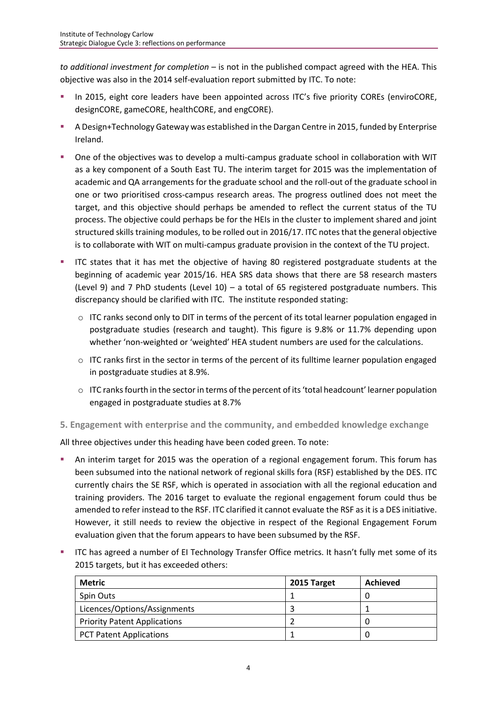*to additional investment for completion* – is not in the published compact agreed with the HEA. This objective was also in the 2014 self-evaluation report submitted by ITC. To note:

- In 2015, eight core leaders have been appointed across ITC's five priority COREs (enviroCORE, designCORE, gameCORE, healthCORE, and engCORE).
- A Design+Technology Gateway was established in the Dargan Centre in 2015, funded by Enterprise Ireland.
- One of the objectives was to develop a multi-campus graduate school in collaboration with WIT as a key component of a South East TU. The interim target for 2015 was the implementation of academic and QA arrangements for the graduate school and the roll-out of the graduate school in one or two prioritised cross-campus research areas. The progress outlined does not meet the target, and this objective should perhaps be amended to reflect the current status of the TU process. The objective could perhaps be for the HEIs in the cluster to implement shared and joint structured skills training modules, to be rolled out in 2016/17. ITC notes that the general objective is to collaborate with WIT on multi-campus graduate provision in the context of the TU project.
- ITC states that it has met the objective of having 80 registered postgraduate students at the beginning of academic year 2015/16. HEA SRS data shows that there are 58 research masters (Level 9) and 7 PhD students (Level  $10$ ) – a total of 65 registered postgraduate numbers. This discrepancy should be clarified with ITC. The institute responded stating:
	- $\circ$  ITC ranks second only to DIT in terms of the percent of its total learner population engaged in postgraduate studies (research and taught). This figure is 9.8% or 11.7% depending upon whether 'non-weighted or 'weighted' HEA student numbers are used for the calculations.
	- $\circ$  ITC ranks first in the sector in terms of the percent of its fulltime learner population engaged in postgraduate studies at 8.9%.
	- $\circ$  ITC ranks fourth in the sector in terms of the percent of its 'total headcount' learner population engaged in postgraduate studies at 8.7%

**5. Engagement with enterprise and the community, and embedded knowledge exchange**

All three objectives under this heading have been coded green. To note:

- An interim target for 2015 was the operation of a regional engagement forum. This forum has been subsumed into the national network of regional skills fora (RSF) established by the DES. ITC currently chairs the SE RSF, which is operated in association with all the regional education and training providers. The 2016 target to evaluate the regional engagement forum could thus be amended to refer instead to the RSF. ITC clarified it cannot evaluate the RSF as it is a DES initiative. However, it still needs to review the objective in respect of the Regional Engagement Forum evaluation given that the forum appears to have been subsumed by the RSF.
- ITC has agreed a number of EI Technology Transfer Office metrics. It hasn't fully met some of its 2015 targets, but it has exceeded others:

| <b>Metric</b>                       | 2015 Target | Achieved |
|-------------------------------------|-------------|----------|
| <b>Spin Outs</b>                    |             |          |
| Licences/Options/Assignments        |             |          |
| <b>Priority Patent Applications</b> |             |          |
| <b>PCT Patent Applications</b>      |             |          |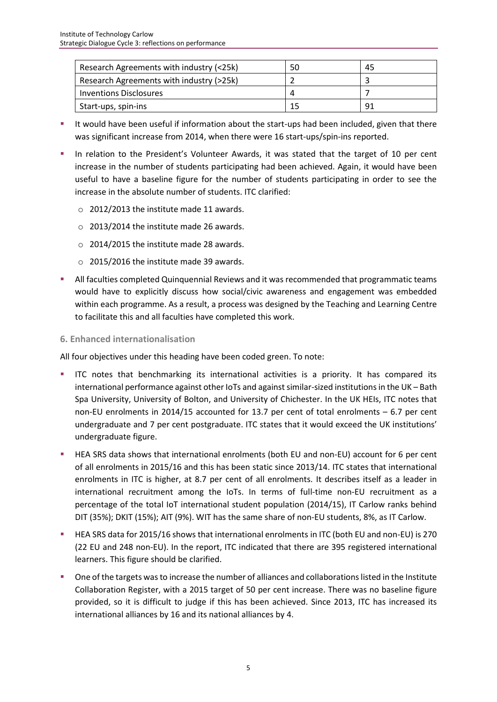| Research Agreements with industry (<25k) | 50       | 45  |
|------------------------------------------|----------|-----|
| Research Agreements with industry (>25k) |          |     |
| Inventions Disclosures                   | $\Delta$ |     |
| Start-ups, spin-ins                      | 15       | -91 |

- It would have been useful if information about the start-ups had been included, given that there was significant increase from 2014, when there were 16 start-ups/spin-ins reported.
- In relation to the President's Volunteer Awards, it was stated that the target of 10 per cent increase in the number of students participating had been achieved. Again, it would have been useful to have a baseline figure for the number of students participating in order to see the increase in the absolute number of students. ITC clarified:
	- o 2012/2013 the institute made 11 awards.
	- o 2013/2014 the institute made 26 awards.
	- o 2014/2015 the institute made 28 awards.
	- o 2015/2016 the institute made 39 awards.
- **All faculties completed Quinquennial Reviews and it was recommended that programmatic teams** would have to explicitly discuss how social/civic awareness and engagement was embedded within each programme. As a result, a process was designed by the Teaching and Learning Centre to facilitate this and all faculties have completed this work.

#### **6. Enhanced internationalisation**

All four objectives under this heading have been coded green. To note:

- ITC notes that benchmarking its international activities is a priority. It has compared its international performance against other IoTs and against similar-sized institutions in the UK – Bath Spa University, University of Bolton, and University of Chichester. In the UK HEIs, ITC notes that non-EU enrolments in 2014/15 accounted for 13.7 per cent of total enrolments – 6.7 per cent undergraduate and 7 per cent postgraduate. ITC states that it would exceed the UK institutions' undergraduate figure.
- HEA SRS data shows that international enrolments (both EU and non-EU) account for 6 per cent of all enrolments in 2015/16 and this has been static since 2013/14. ITC states that international enrolments in ITC is higher, at 8.7 per cent of all enrolments. It describes itself as a leader in international recruitment among the IoTs. In terms of full-time non-EU recruitment as a percentage of the total IoT international student population (2014/15), IT Carlow ranks behind DIT (35%); DKIT (15%); AIT (9%). WIT has the same share of non-EU students, 8%, as IT Carlow.
- HEA SRS data for 2015/16 shows that international enrolments in ITC (both EU and non-EU) is 270 (22 EU and 248 non-EU). In the report, ITC indicated that there are 395 registered international learners. This figure should be clarified.
- **One of the targets was to increase the number of alliances and collaborations listed in the Institute** Collaboration Register, with a 2015 target of 50 per cent increase. There was no baseline figure provided, so it is difficult to judge if this has been achieved. Since 2013, ITC has increased its international alliances by 16 and its national alliances by 4.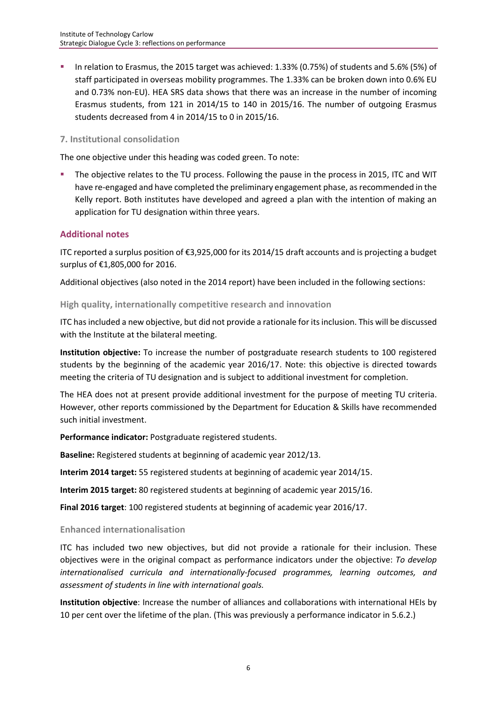In relation to Erasmus, the 2015 target was achieved: 1.33% (0.75%) of students and 5.6% (5%) of staff participated in overseas mobility programmes. The 1.33% can be broken down into 0.6% EU and 0.73% non-EU). HEA SRS data shows that there was an increase in the number of incoming Erasmus students, from 121 in 2014/15 to 140 in 2015/16. The number of outgoing Erasmus students decreased from 4 in 2014/15 to 0 in 2015/16.

#### **7. Institutional consolidation**

The one objective under this heading was coded green. To note:

 The objective relates to the TU process. Following the pause in the process in 2015, ITC and WIT have re-engaged and have completed the preliminary engagement phase, as recommended in the Kelly report. Both institutes have developed and agreed a plan with the intention of making an application for TU designation within three years.

## **Additional notes**

ITC reported a surplus position of €3,925,000 for its 2014/15 draft accounts and is projecting a budget surplus of €1,805,000 for 2016.

Additional objectives (also noted in the 2014 report) have been included in the following sections:

#### **High quality, internationally competitive research and innovation**

ITC has included a new objective, but did not provide a rationale for its inclusion. This will be discussed with the Institute at the bilateral meeting.

**Institution objective:** To increase the number of postgraduate research students to 100 registered students by the beginning of the academic year 2016/17. Note: this objective is directed towards meeting the criteria of TU designation and is subject to additional investment for completion.

The HEA does not at present provide additional investment for the purpose of meeting TU criteria. However, other reports commissioned by the Department for Education & Skills have recommended such initial investment.

**Performance indicator:** Postgraduate registered students.

**Baseline:** Registered students at beginning of academic year 2012/13.

**Interim 2014 target:** 55 registered students at beginning of academic year 2014/15.

**Interim 2015 target:** 80 registered students at beginning of academic year 2015/16.

**Final 2016 target**: 100 registered students at beginning of academic year 2016/17.

#### **Enhanced internationalisation**

ITC has included two new objectives, but did not provide a rationale for their inclusion. These objectives were in the original compact as performance indicators under the objective: *To develop internationalised curricula and internationally-focused programmes, learning outcomes, and assessment of students in line with international goals.*

**Institution objective**: Increase the number of alliances and collaborations with international HEIs by 10 per cent over the lifetime of the plan. (This was previously a performance indicator in 5.6.2.)